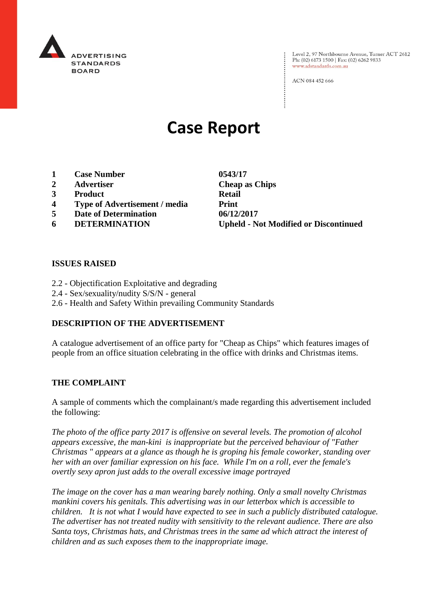

Level 2, 97 Northbourne Avenue, Turner ACT 2612 Ph: (02) 6173 1500 | Fax: (02) 6262 9833 www.adstandards.com.au

ACN 084 452 666

# **Case Report**

- **1 Case Number 0543/17**
- **2 Advertiser Cheap as Chips**
- **3 Product Retail**
- **4 Type of Advertisement / media Print**
- **5 Date of Determination 06/12/2017**
- 

**6 DETERMINATION Upheld - Not Modified or Discontinued**

 $\vdots$ 

#### **ISSUES RAISED**

- 2.2 Objectification Exploitative and degrading
- 2.4 Sex/sexuality/nudity S/S/N general
- 2.6 Health and Safety Within prevailing Community Standards

### **DESCRIPTION OF THE ADVERTISEMENT**

A catalogue advertisement of an office party for "Cheap as Chips" which features images of people from an office situation celebrating in the office with drinks and Christmas items.

#### **THE COMPLAINT**

A sample of comments which the complainant/s made regarding this advertisement included the following:

*The photo of the office party 2017 is offensive on several levels. The promotion of alcohol appears excessive, the man-kini is inappropriate but the perceived behaviour of "Father Christmas " appears at a glance as though he is groping his female coworker, standing over her with an over familiar expression on his face. While I'm on a roll, ever the female's overtly sexy apron just adds to the overall excessive image portrayed*

*The image on the cover has a man wearing barely nothing. Only a small novelty Christmas mankini covers his genitals. This advertising was in our letterbox which is accessible to children. It is not what I would have expected to see in such a publicly distributed catalogue. The advertiser has not treated nudity with sensitivity to the relevant audience. There are also Santa toys, Christmas hats, and Christmas trees in the same ad which attract the interest of children and as such exposes them to the inappropriate image.*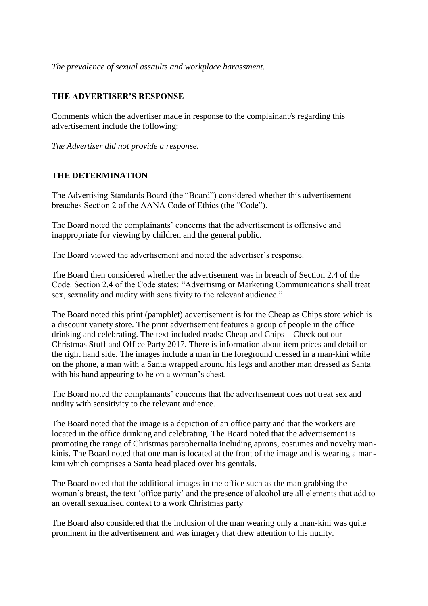*The prevalence of sexual assaults and workplace harassment.*

## **THE ADVERTISER'S RESPONSE**

Comments which the advertiser made in response to the complainant/s regarding this advertisement include the following:

*The Advertiser did not provide a response.*

## **THE DETERMINATION**

The Advertising Standards Board (the "Board") considered whether this advertisement breaches Section 2 of the AANA Code of Ethics (the "Code").

The Board noted the complainants' concerns that the advertisement is offensive and inappropriate for viewing by children and the general public.

The Board viewed the advertisement and noted the advertiser's response.

The Board then considered whether the advertisement was in breach of Section 2.4 of the Code. Section 2.4 of the Code states: "Advertising or Marketing Communications shall treat sex, sexuality and nudity with sensitivity to the relevant audience."

The Board noted this print (pamphlet) advertisement is for the Cheap as Chips store which is a discount variety store. The print advertisement features a group of people in the office drinking and celebrating. The text included reads: Cheap and Chips – Check out our Christmas Stuff and Office Party 2017. There is information about item prices and detail on the right hand side. The images include a man in the foreground dressed in a man-kini while on the phone, a man with a Santa wrapped around his legs and another man dressed as Santa with his hand appearing to be on a woman's chest.

The Board noted the complainants' concerns that the advertisement does not treat sex and nudity with sensitivity to the relevant audience.

The Board noted that the image is a depiction of an office party and that the workers are located in the office drinking and celebrating. The Board noted that the advertisement is promoting the range of Christmas paraphernalia including aprons, costumes and novelty mankinis. The Board noted that one man is located at the front of the image and is wearing a mankini which comprises a Santa head placed over his genitals.

The Board noted that the additional images in the office such as the man grabbing the woman's breast, the text 'office party' and the presence of alcohol are all elements that add to an overall sexualised context to a work Christmas party

The Board also considered that the inclusion of the man wearing only a man-kini was quite prominent in the advertisement and was imagery that drew attention to his nudity.